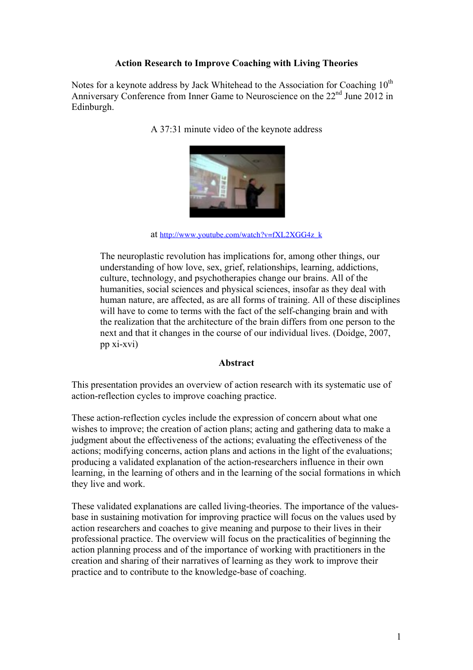### **Action Research to Improve Coaching with Living Theories**

Notes for a keynote address by Jack Whitehead to the Association for Coaching  $10<sup>th</sup>$ Anniversary Conference from Inner Game to Neuroscience on the  $22<sup>nd</sup>$  June 2012 in Edinburgh.

A 37:31 minute video of the keynote address



at [http://www.youtube.com/watch?v=fXL2XGG4z\\_k](http://www.youtube.com/watch?v=fXL2XGG4z_k)

The neuroplastic revolution has implications for, among other things, our understanding of how love, sex, grief, relationships, learning, addictions, culture, technology, and psychotherapies change our brains. All of the humanities, social sciences and physical sciences, insofar as they deal with human nature, are affected, as are all forms of training. All of these disciplines will have to come to terms with the fact of the self-changing brain and with the realization that the architecture of the brain differs from one person to the next and that it changes in the course of our individual lives. (Doidge, 2007, pp xi-xvi)

### **Abstract**

This presentation provides an overview of action research with its systematic use of action-reflection cycles to improve coaching practice.

These action-reflection cycles include the expression of concern about what one wishes to improve; the creation of action plans; acting and gathering data to make a judgment about the effectiveness of the actions; evaluating the effectiveness of the actions; modifying concerns, action plans and actions in the light of the evaluations; producing a validated explanation of the action-researchers influence in their own learning, in the learning of others and in the learning of the social formations in which they live and work.

These validated explanations are called living-theories. The importance of the valuesbase in sustaining motivation for improving practice will focus on the values used by action researchers and coaches to give meaning and purpose to their lives in their professional practice. The overview will focus on the practicalities of beginning the action planning process and of the importance of working with practitioners in the creation and sharing of their narratives of learning as they work to improve their practice and to contribute to the knowledge-base of coaching.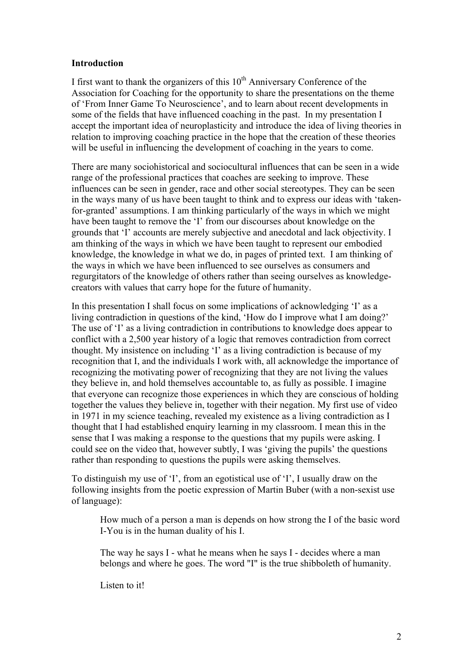#### **Introduction**

I first want to thank the organizers of this  $10<sup>th</sup>$  Anniversary Conference of the Association for Coaching for the opportunity to share the presentations on the theme of 'From Inner Game To Neuroscience', and to learn about recent developments in some of the fields that have influenced coaching in the past. In my presentation I accept the important idea of neuroplasticity and introduce the idea of living theories in relation to improving coaching practice in the hope that the creation of these theories will be useful in influencing the development of coaching in the years to come.

There are many sociohistorical and sociocultural influences that can be seen in a wide range of the professional practices that coaches are seeking to improve. These influences can be seen in gender, race and other social stereotypes. They can be seen in the ways many of us have been taught to think and to express our ideas with 'takenfor-granted' assumptions. I am thinking particularly of the ways in which we might have been taught to remove the 'I' from our discourses about knowledge on the grounds that 'I' accounts are merely subjective and anecdotal and lack objectivity. I am thinking of the ways in which we have been taught to represent our embodied knowledge, the knowledge in what we do, in pages of printed text. I am thinking of the ways in which we have been influenced to see ourselves as consumers and regurgitators of the knowledge of others rather than seeing ourselves as knowledgecreators with values that carry hope for the future of humanity.

In this presentation I shall focus on some implications of acknowledging 'I' as a living contradiction in questions of the kind, 'How do I improve what I am doing?' The use of 'I' as a living contradiction in contributions to knowledge does appear to conflict with a 2,500 year history of a logic that removes contradiction from correct thought. My insistence on including 'I' as a living contradiction is because of my recognition that I, and the individuals I work with, all acknowledge the importance of recognizing the motivating power of recognizing that they are not living the values they believe in, and hold themselves accountable to, as fully as possible. I imagine that everyone can recognize those experiences in which they are conscious of holding together the values they believe in, together with their negation. My first use of video in 1971 in my science teaching, revealed my existence as a living contradiction as I thought that I had established enquiry learning in my classroom. I mean this in the sense that I was making a response to the questions that my pupils were asking. I could see on the video that, however subtly, I was 'giving the pupils' the questions rather than responding to questions the pupils were asking themselves.

To distinguish my use of 'I', from an egotistical use of 'I', I usually draw on the following insights from the poetic expression of Martin Buber (with a non-sexist use of language):

How much of a person a man is depends on how strong the I of the basic word I-You is in the human duality of his I.

The way he says I - what he means when he says I - decides where a man belongs and where he goes. The word "I" is the true shibboleth of humanity.

Listen to it!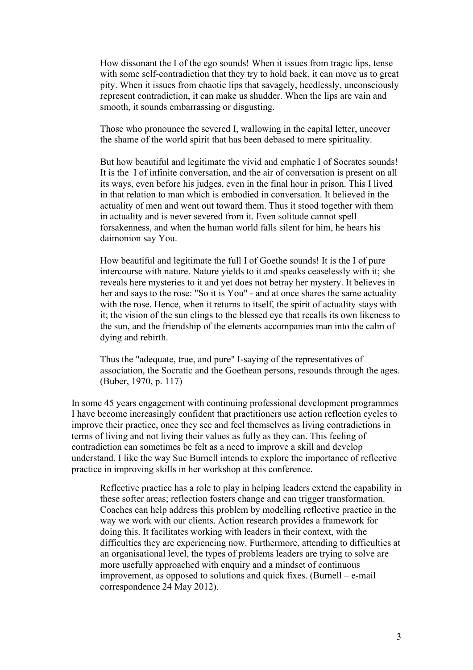How dissonant the I of the ego sounds! When it issues from tragic lips, tense with some self-contradiction that they try to hold back, it can move us to great pity. When it issues from chaotic lips that savagely, heedlessly, unconsciously represent contradiction, it can make us shudder. When the lips are vain and smooth, it sounds embarrassing or disgusting.

Those who pronounce the severed I, wallowing in the capital letter, uncover the shame of the world spirit that has been debased to mere spirituality.

But how beautiful and legitimate the vivid and emphatic I of Socrates sounds! It is the I of infinite conversation, and the air of conversation is present on all its ways, even before his judges, even in the final hour in prison. This I lived in that relation to man which is embodied in conversation. It believed in the actuality of men and went out toward them. Thus it stood together with them in actuality and is never severed from it. Even solitude cannot spell forsakenness, and when the human world falls silent for him, he hears his daimonion say You.

How beautiful and legitimate the full I of Goethe sounds! It is the I of pure intercourse with nature. Nature yields to it and speaks ceaselessly with it; she reveals here mysteries to it and yet does not betray her mystery. It believes in her and says to the rose: "So it is You" - and at once shares the same actuality with the rose. Hence, when it returns to itself, the spirit of actuality stays with it; the vision of the sun clings to the blessed eye that recalls its own likeness to the sun, and the friendship of the elements accompanies man into the calm of dying and rebirth.

Thus the "adequate, true, and pure" I-saying of the representatives of association, the Socratic and the Goethean persons, resounds through the ages. (Buber, 1970, p. 117)

In some 45 years engagement with continuing professional development programmes I have become increasingly confident that practitioners use action reflection cycles to improve their practice, once they see and feel themselves as living contradictions in terms of living and not living their values as fully as they can. This feeling of contradiction can sometimes be felt as a need to improve a skill and develop understand. I like the way Sue Burnell intends to explore the importance of reflective practice in improving skills in her workshop at this conference.

Reflective practice has a role to play in helping leaders extend the capability in these softer areas; reflection fosters change and can trigger transformation. Coaches can help address this problem by modelling reflective practice in the way we work with our clients. Action research provides a framework for doing this. It facilitates working with leaders in their context, with the difficulties they are experiencing now. Furthermore, attending to difficulties at an organisational level, the types of problems leaders are trying to solve are more usefully approached with enquiry and a mindset of continuous improvement, as opposed to solutions and quick fixes. (Burnell – e-mail correspondence 24 May 2012).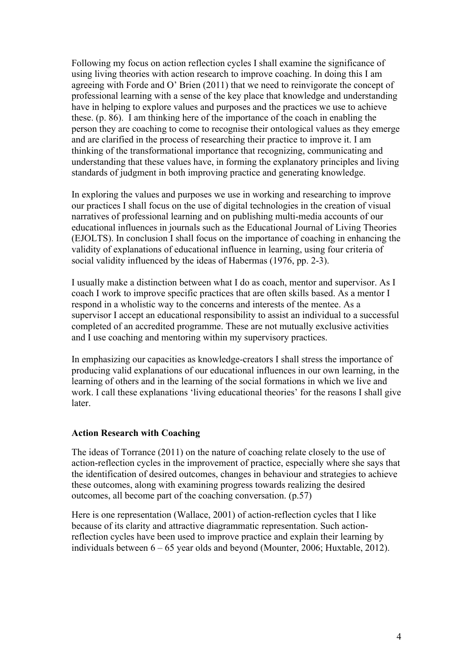Following my focus on action reflection cycles I shall examine the significance of using living theories with action research to improve coaching. In doing this I am agreeing with Forde and O' Brien (2011) that we need to reinvigorate the concept of professional learning with a sense of the key place that knowledge and understanding have in helping to explore values and purposes and the practices we use to achieve these. (p. 86). I am thinking here of the importance of the coach in enabling the person they are coaching to come to recognise their ontological values as they emerge and are clarified in the process of researching their practice to improve it. I am thinking of the transformational importance that recognizing, communicating and understanding that these values have, in forming the explanatory principles and living standards of judgment in both improving practice and generating knowledge.

In exploring the values and purposes we use in working and researching to improve our practices I shall focus on the use of digital technologies in the creation of visual narratives of professional learning and on publishing multi-media accounts of our educational influences in journals such as the Educational Journal of Living Theories (EJOLTS). In conclusion I shall focus on the importance of coaching in enhancing the validity of explanations of educational influence in learning, using four criteria of social validity influenced by the ideas of Habermas (1976, pp. 2-3).

I usually make a distinction between what I do as coach, mentor and supervisor. As I coach I work to improve specific practices that are often skills based. As a mentor I respond in a wholistic way to the concerns and interests of the mentee. As a supervisor I accept an educational responsibility to assist an individual to a successful completed of an accredited programme. These are not mutually exclusive activities and I use coaching and mentoring within my supervisory practices.

In emphasizing our capacities as knowledge-creators I shall stress the importance of producing valid explanations of our educational influences in our own learning, in the learning of others and in the learning of the social formations in which we live and work. I call these explanations 'living educational theories' for the reasons I shall give later.

### **Action Research with Coaching**

The ideas of Torrance (2011) on the nature of coaching relate closely to the use of action-reflection cycles in the improvement of practice, especially where she says that the identification of desired outcomes, changes in behaviour and strategies to achieve these outcomes, along with examining progress towards realizing the desired outcomes, all become part of the coaching conversation. (p.57)

Here is one representation (Wallace, 2001) of action-reflection cycles that I like because of its clarity and attractive diagrammatic representation. Such actionreflection cycles have been used to improve practice and explain their learning by individuals between 6 – 65 year olds and beyond (Mounter, 2006; Huxtable, 2012).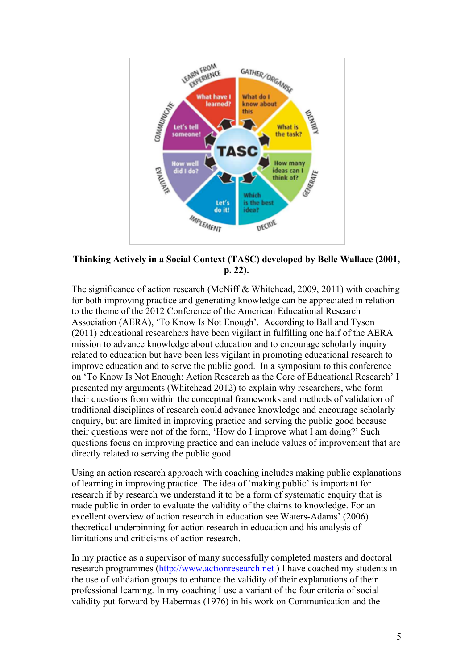

# **Thinking Actively in a Social Context (TASC) developed by Belle Wallace (2001, p. 22).**

The significance of action research (McNiff & Whitehead, 2009, 2011) with coaching for both improving practice and generating knowledge can be appreciated in relation to the theme of the 2012 Conference of the American Educational Research Association (AERA), 'To Know Is Not Enough'. According to Ball and Tyson (2011) educational researchers have been vigilant in fulfilling one half of the AERA mission to advance knowledge about education and to encourage scholarly inquiry related to education but have been less vigilant in promoting educational research to improve education and to serve the public good. In a symposium to this conference on 'To Know Is Not Enough: Action Research as the Core of Educational Research' I presented my arguments (Whitehead 2012) to explain why researchers, who form their questions from within the conceptual frameworks and methods of validation of traditional disciplines of research could advance knowledge and encourage scholarly enquiry, but are limited in improving practice and serving the public good because their questions were not of the form, 'How do I improve what I am doing?' Such questions focus on improving practice and can include values of improvement that are directly related to serving the public good.

Using an action research approach with coaching includes making public explanations of learning in improving practice. The idea of 'making public' is important for research if by research we understand it to be a form of systematic enquiry that is made public in order to evaluate the validity of the claims to knowledge. For an excellent overview of action research in education see Waters-Adams' (2006) theoretical underpinning for action research in education and his analysis of limitations and criticisms of action research.

In my practice as a supervisor of many successfully completed masters and doctoral research programmes (http://www.actionresearch.net ) I have coached my students in the use of validation groups to enhance the validity of their explanations of their professional learning. In my coaching I use a variant of the four criteria of social validity put forward by Habermas (1976) in his work on Communication and the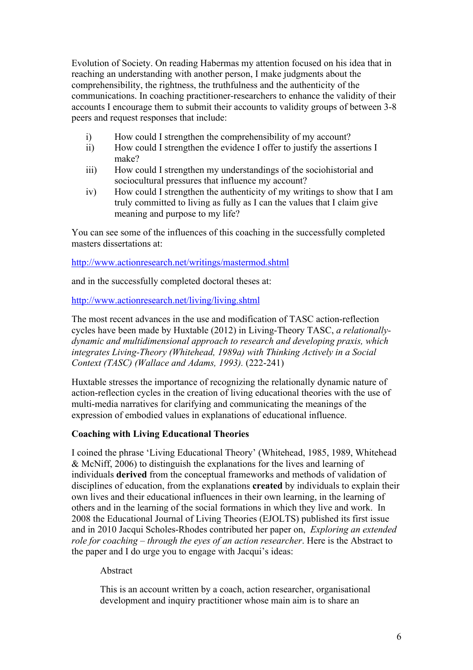Evolution of Society. On reading Habermas my attention focused on his idea that in reaching an understanding with another person, I make judgments about the comprehensibility, the rightness, the truthfulness and the authenticity of the communications. In coaching practitioner-researchers to enhance the validity of their accounts I encourage them to submit their accounts to validity groups of between 3-8 peers and request responses that include:

- i) How could I strengthen the comprehensibility of my account?
- ii) How could I strengthen the evidence I offer to justify the assertions I make?
- iii) How could I strengthen my understandings of the sociohistorial and sociocultural pressures that influence my account?
- iv) How could I strengthen the authenticity of my writings to show that I am truly committed to living as fully as I can the values that I claim give meaning and purpose to my life?

You can see some of the influences of this coaching in the successfully completed masters dissertations at:

http://www.actionresearch.net/writings/mastermod.shtml

and in the successfully completed doctoral theses at:

http://www.actionresearch.net/living/living.shtml

The most recent advances in the use and modification of TASC action-reflection cycles have been made by Huxtable (2012) in Living-Theory TASC, *a relationallydynamic and multidimensional approach to research and developing praxis, which integrates Living-Theory (Whitehead, 1989a) with Thinking Actively in a Social Context (TASC) (Wallace and Adams, 1993).* (222-241)

Huxtable stresses the importance of recognizing the relationally dynamic nature of action-reflection cycles in the creation of living educational theories with the use of multi-media narratives for clarifying and communicating the meanings of the expression of embodied values in explanations of educational influence.

## **Coaching with Living Educational Theories**

I coined the phrase 'Living Educational Theory' (Whitehead, 1985, 1989, Whitehead & McNiff, 2006) to distinguish the explanations for the lives and learning of individuals **derived** from the conceptual frameworks and methods of validation of disciplines of education, from the explanations **created** by individuals to explain their own lives and their educational influences in their own learning, in the learning of others and in the learning of the social formations in which they live and work. In 2008 the Educational Journal of Living Theories (EJOLTS) published its first issue and in 2010 Jacqui Scholes-Rhodes contributed her paper on, *Exploring an extended role for coaching – through the eyes of an action researcher*. Here is the Abstract to the paper and I do urge you to engage with Jacqui's ideas:

## Abstract

This is an account written by a coach, action researcher, organisational development and inquiry practitioner whose main aim is to share an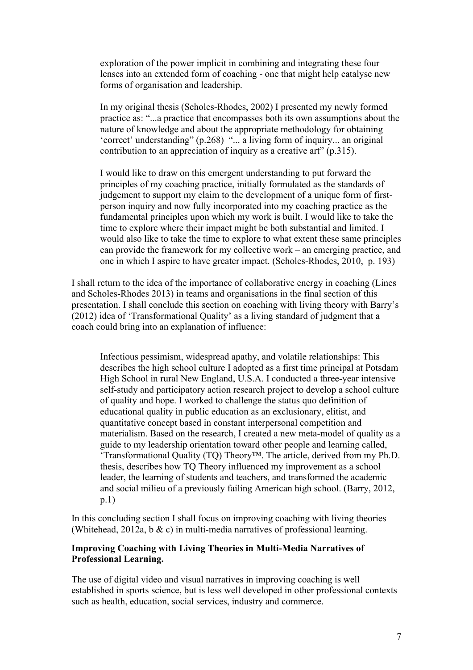exploration of the power implicit in combining and integrating these four lenses into an extended form of coaching - one that might help catalyse new forms of organisation and leadership.

In my original thesis (Scholes-Rhodes, 2002) I presented my newly formed practice as: "...a practice that encompasses both its own assumptions about the nature of knowledge and about the appropriate methodology for obtaining 'correct' understanding" (p.268) "... a living form of inquiry... an original contribution to an appreciation of inquiry as a creative art" (p.315).

I would like to draw on this emergent understanding to put forward the principles of my coaching practice, initially formulated as the standards of judgement to support my claim to the development of a unique form of firstperson inquiry and now fully incorporated into my coaching practice as the fundamental principles upon which my work is built. I would like to take the time to explore where their impact might be both substantial and limited. I would also like to take the time to explore to what extent these same principles can provide the framework for my collective work – an emerging practice, and one in which I aspire to have greater impact. (Scholes-Rhodes, 2010, p. 193)

I shall return to the idea of the importance of collaborative energy in coaching (Lines and Scholes-Rhodes 2013) in teams and organisations in the final section of this presentation. I shall conclude this section on coaching with living theory with Barry's (2012) idea of 'Transformational Quality' as a living standard of judgment that a coach could bring into an explanation of influence:

Infectious pessimism, widespread apathy, and volatile relationships: This describes the high school culture I adopted as a first time principal at Potsdam High School in rural New England, U.S.A. I conducted a three-year intensive self-study and participatory action research project to develop a school culture of quality and hope. I worked to challenge the status quo definition of educational quality in public education as an exclusionary, elitist, and quantitative concept based in constant interpersonal competition and materialism. Based on the research, I created a new meta-model of quality as a guide to my leadership orientation toward other people and learning called, 'Transformational Quality (TQ) Theory™. The article, derived from my Ph.D. thesis, describes how TQ Theory influenced my improvement as a school leader, the learning of students and teachers, and transformed the academic and social milieu of a previously failing American high school. (Barry, 2012, p.1)

In this concluding section I shall focus on improving coaching with living theories (Whitehead, 2012a,  $b \& c$ ) in multi-media narratives of professional learning.

### **Improving Coaching with Living Theories in Multi-Media Narratives of Professional Learning.**

The use of digital video and visual narratives in improving coaching is well established in sports science, but is less well developed in other professional contexts such as health, education, social services, industry and commerce.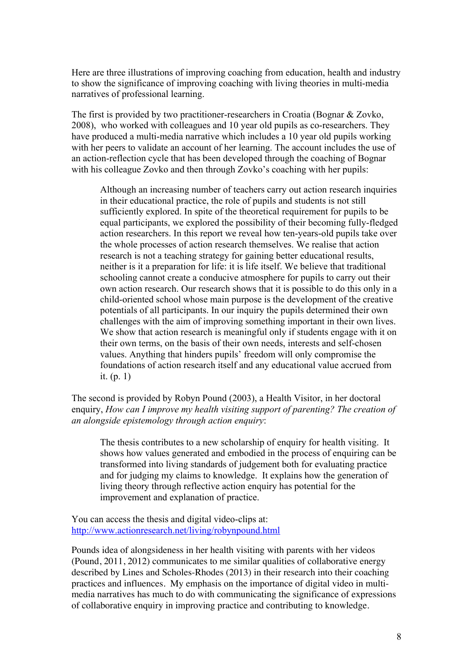Here are three illustrations of improving coaching from education, health and industry to show the significance of improving coaching with living theories in multi-media narratives of professional learning.

The first is provided by two practitioner-researchers in Croatia (Bognar & Zovko, 2008), who worked with colleagues and 10 year old pupils as co-researchers. They have produced a multi-media narrative which includes a 10 year old pupils working with her peers to validate an account of her learning. The account includes the use of an action-reflection cycle that has been developed through the coaching of Bognar with his colleague Zovko and then through Zovko's coaching with her pupils:

Although an increasing number of teachers carry out action research inquiries in their educational practice, the role of pupils and students is not still sufficiently explored. In spite of the theoretical requirement for pupils to be equal participants, we explored the possibility of their becoming fully-fledged action researchers. In this report we reveal how ten-years-old pupils take over the whole processes of action research themselves. We realise that action research is not a teaching strategy for gaining better educational results, neither is it a preparation for life: it is life itself. We believe that traditional schooling cannot create a conducive atmosphere for pupils to carry out their own action research. Our research shows that it is possible to do this only in a child-oriented school whose main purpose is the development of the creative potentials of all participants. In our inquiry the pupils determined their own challenges with the aim of improving something important in their own lives. We show that action research is meaningful only if students engage with it on their own terms, on the basis of their own needs, interests and self-chosen values. Anything that hinders pupils' freedom will only compromise the foundations of action research itself and any educational value accrued from it. (p. 1)

The second is provided by Robyn Pound (2003), a Health Visitor, in her doctoral enquiry, *How can I improve my health visiting support of parenting? The creation of an alongside epistemology through action enquiry*:

The thesis contributes to a new scholarship of enquiry for health visiting. It shows how values generated and embodied in the process of enquiring can be transformed into living standards of judgement both for evaluating practice and for judging my claims to knowledge. It explains how the generation of living theory through reflective action enquiry has potential for the improvement and explanation of practice.

You can access the thesis and digital video-clips at: http://www.actionresearch.net/living/robynpound.html

Pounds idea of alongsideness in her health visiting with parents with her videos (Pound, 2011, 2012) communicates to me similar qualities of collaborative energy described by Lines and Scholes-Rhodes (2013) in their research into their coaching practices and influences. My emphasis on the importance of digital video in multimedia narratives has much to do with communicating the significance of expressions of collaborative enquiry in improving practice and contributing to knowledge.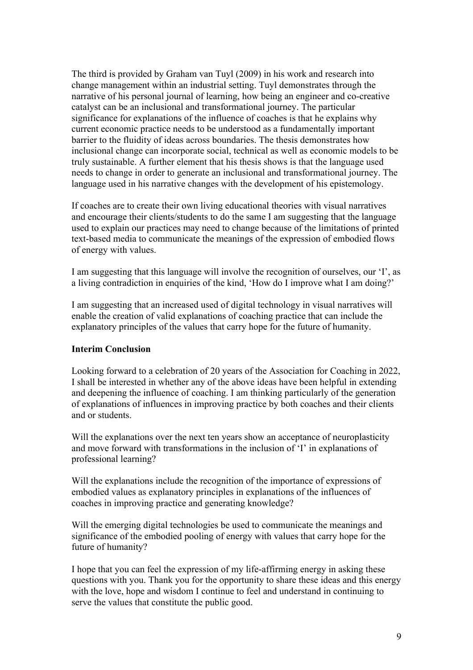The third is provided by Graham van Tuyl (2009) in his work and research into change management within an industrial setting. Tuyl demonstrates through the narrative of his personal journal of learning, how being an engineer and co-creative catalyst can be an inclusional and transformational journey. The particular significance for explanations of the influence of coaches is that he explains why current economic practice needs to be understood as a fundamentally important barrier to the fluidity of ideas across boundaries. The thesis demonstrates how inclusional change can incorporate social, technical as well as economic models to be truly sustainable. A further element that his thesis shows is that the language used needs to change in order to generate an inclusional and transformational journey. The language used in his narrative changes with the development of his epistemology.

If coaches are to create their own living educational theories with visual narratives and encourage their clients/students to do the same I am suggesting that the language used to explain our practices may need to change because of the limitations of printed text-based media to communicate the meanings of the expression of embodied flows of energy with values.

I am suggesting that this language will involve the recognition of ourselves, our 'I', as a living contradiction in enquiries of the kind, 'How do I improve what I am doing?'

I am suggesting that an increased used of digital technology in visual narratives will enable the creation of valid explanations of coaching practice that can include the explanatory principles of the values that carry hope for the future of humanity.

### **Interim Conclusion**

Looking forward to a celebration of 20 years of the Association for Coaching in 2022, I shall be interested in whether any of the above ideas have been helpful in extending and deepening the influence of coaching. I am thinking particularly of the generation of explanations of influences in improving practice by both coaches and their clients and or students.

Will the explanations over the next ten years show an acceptance of neuroplasticity and move forward with transformations in the inclusion of 'I' in explanations of professional learning?

Will the explanations include the recognition of the importance of expressions of embodied values as explanatory principles in explanations of the influences of coaches in improving practice and generating knowledge?

Will the emerging digital technologies be used to communicate the meanings and significance of the embodied pooling of energy with values that carry hope for the future of humanity?

I hope that you can feel the expression of my life-affirming energy in asking these questions with you. Thank you for the opportunity to share these ideas and this energy with the love, hope and wisdom I continue to feel and understand in continuing to serve the values that constitute the public good.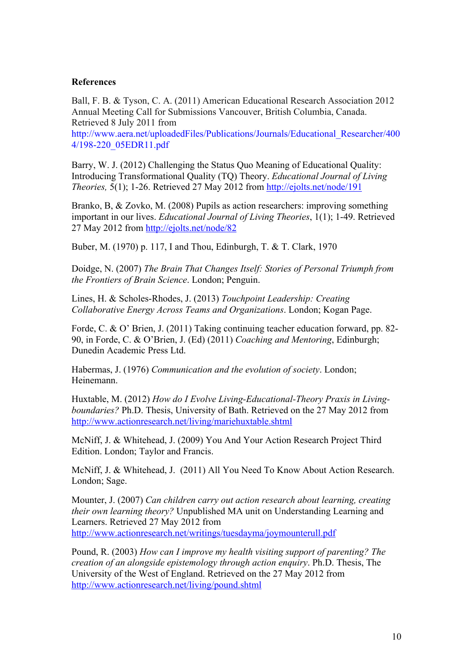### **References**

Ball, F. B. & Tyson, C. A. (2011) American Educational Research Association 2012 Annual Meeting Call for Submissions Vancouver, British Columbia, Canada. Retrieved 8 July 2011 from

http://www.aera.net/uploadedFiles/Publications/Journals/Educational\_Researcher/400 4/198-220\_05EDR11.pdf

Barry, W. J. (2012) Challenging the Status Quo Meaning of Educational Quality: Introducing Transformational Quality (TQ) Theory. *Educational Journal of Living Theories,* 5(1); 1-26. Retrieved 27 May 2012 from http://ejolts.net/node/191

Branko, B, & Zovko, M. (2008) Pupils as action researchers: improving something important in our lives. *Educational Journal of Living Theories*, 1(1); 1-49. Retrieved 27 May 2012 from http://ejolts.net/node/82

Buber, M. (1970) p. 117, I and Thou, Edinburgh, T. & T. Clark, 1970

Doidge, N. (2007) *The Brain That Changes Itself: Stories of Personal Triumph from the Frontiers of Brain Science*. London; Penguin.

Lines, H. & Scholes-Rhodes, J. (2013) *Touchpoint Leadership: Creating Collaborative Energy Across Teams and Organizations*. London; Kogan Page.

Forde, C. & O' Brien, J. (2011) Taking continuing teacher education forward, pp. 82- 90, in Forde, C. & O'Brien, J. (Ed) (2011) *Coaching and Mentoring*, Edinburgh; Dunedin Academic Press Ltd.

Habermas, J. (1976) *Communication and the evolution of society*. London; Heinemann.

Huxtable, M. (2012) *How do I Evolve Living-Educational-Theory Praxis in Livingboundaries?* Ph.D. Thesis, University of Bath. Retrieved on the 27 May 2012 from http://www.actionresearch.net/living/mariehuxtable.shtml

McNiff, J. & Whitehead, J. (2009) You And Your Action Research Project Third Edition. London; Taylor and Francis.

McNiff, J. & Whitehead, J. (2011) All You Need To Know About Action Research. London; Sage.

Mounter, J. (2007) *Can children carry out action research about learning, creating their own learning theory?* Unpublished MA unit on Understanding Learning and Learners. Retrieved 27 May 2012 from http://www.actionresearch.net/writings/tuesdayma/joymounterull.pdf

Pound, R. (2003) *How can I improve my health visiting support of parenting? The creation of an alongside epistemology through action enquiry*. Ph.D. Thesis, The University of the West of England. Retrieved on the 27 May 2012 from http://www.actionresearch.net/living/pound.shtml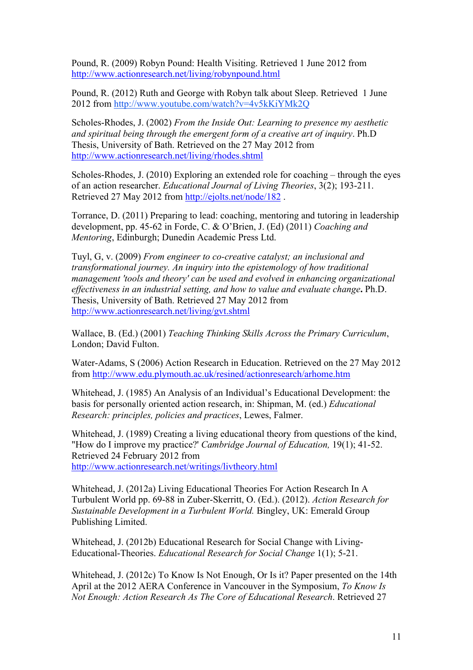Pound, R. (2009) Robyn Pound: Health Visiting. Retrieved 1 June 2012 from http://www.actionresearch.net/living/robynpound.html

Pound, R. (2012) Ruth and George with Robyn talk about Sleep. Retrieved 1 June 2012 from http://www.youtube.com/watch?v=4v5kKiYMk2Q

Scholes-Rhodes, J. (2002) *From the Inside Out: Learning to presence my aesthetic and spiritual being through the emergent form of a creative art of inquiry*. Ph.D Thesis, University of Bath. Retrieved on the 27 May 2012 from http://www.actionresearch.net/living/rhodes.shtml

Scholes-Rhodes, J. (2010) Exploring an extended role for coaching – through the eyes of an action researcher. *Educational Journal of Living Theories*, 3(2); 193-211. Retrieved 27 May 2012 from http://ejolts.net/node/182 .

Torrance, D. (2011) Preparing to lead: coaching, mentoring and tutoring in leadership development, pp. 45-62 in Forde, C. & O'Brien, J. (Ed) (2011) *Coaching and Mentoring*, Edinburgh; Dunedin Academic Press Ltd.

Tuyl, G, v. (2009) *From engineer to co-creative catalyst; an inclusional and transformational journey. An inquiry into the epistemology of how traditional management 'tools and theory' can be used and evolved in enhancing organizational effectiveness in an industrial setting, and how to value and evaluate change***.** Ph.D. Thesis, University of Bath. Retrieved 27 May 2012 from http://www.actionresearch.net/living/gvt.shtml

Wallace, B. (Ed.) (2001) *Teaching Thinking Skills Across the Primary Curriculum*, London; David Fulton.

Water-Adams, S (2006) Action Research in Education. Retrieved on the 27 May 2012 from http://www.edu.plymouth.ac.uk/resined/actionresearch/arhome.htm

Whitehead, J. (1985) An Analysis of an Individual's Educational Development: the basis for personally oriented action research, in: Shipman, M. (ed.) *Educational Research: principles, policies and practices*, Lewes, Falmer.

Whitehead, J. (1989) Creating a living educational theory from questions of the kind, "How do I improve my practice?' *Cambridge Journal of Education,* 19(1); 41-52. Retrieved 24 February 2012 from http://www.actionresearch.net/writings/livtheory.html

Whitehead, J. (2012a) Living Educational Theories For Action Research In A Turbulent World pp. 69-88 in Zuber-Skerritt, O. (Ed.). (2012). *Action Research for Sustainable Development in a Turbulent World.* Bingley, UK: Emerald Group Publishing Limited.

Whitehead, J. (2012b) Educational Research for Social Change with Living-Educational-Theories. *Educational Research for Social Change* 1(1); 5-21.

Whitehead, J. (2012c) To Know Is Not Enough, Or Is it? Paper presented on the 14th April at the 2012 AERA Conference in Vancouver in the Symposium, *To Know Is Not Enough: Action Research As The Core of Educational Research*. Retrieved 27